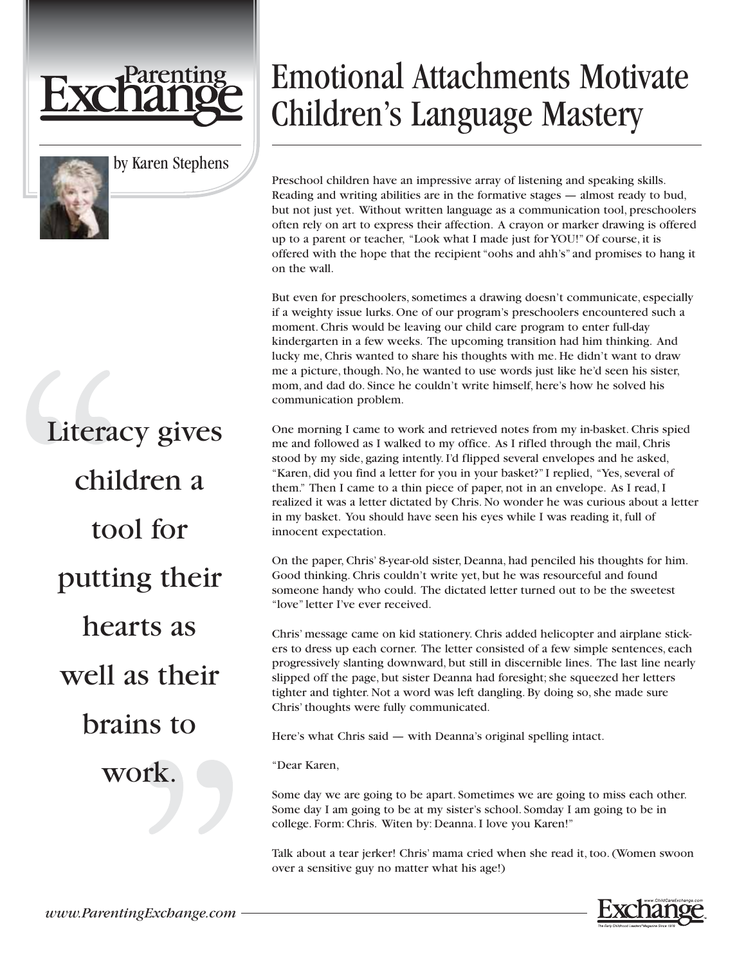



by Karen Stephens

## Literacy gives children a tool for putting their hearts as well as their brains to work.

## Emotional Attachments Motivate Children's Language Mastery

Preschool children have an impressive array of listening and speaking skills. Reading and writing abilities are in the formative stages — almost ready to bud, but not just yet. Without written language as a communication tool, preschoolers often rely on art to express their affection. A crayon or marker drawing is offered up to a parent or teacher, "Look what I made just for YOU!" Of course, it is offered with the hope that the recipient "oohs and ahh's" and promises to hang it on the wall.

But even for preschoolers, sometimes a drawing doesn't communicate, especially if a weighty issue lurks. One of our program's preschoolers encountered such a moment. Chris would be leaving our child care program to enter full-day kindergarten in a few weeks. The upcoming transition had him thinking. And lucky me, Chris wanted to share his thoughts with me. He didn't want to draw me a picture, though. No, he wanted to use words just like he'd seen his sister, mom, and dad do. Since he couldn't write himself, here's how he solved his communication problem.

One morning I came to work and retrieved notes from my in-basket. Chris spied me and followed as I walked to my office. As I rifled through the mail, Chris stood by my side, gazing intently. I'd flipped several envelopes and he asked, "Karen, did you find a letter for you in your basket?" I replied, "Yes, several of them." Then I came to a thin piece of paper, not in an envelope. As I read, I realized it was a letter dictated by Chris. No wonder he was curious about a letter in my basket. You should have seen his eyes while I was reading it, full of innocent expectation.

On the paper, Chris' 8-year-old sister, Deanna, had penciled his thoughts for him. Good thinking. Chris couldn't write yet, but he was resourceful and found someone handy who could. The dictated letter turned out to be the sweetest "love" letter I've ever received.

Chris' message came on kid stationery. Chris added helicopter and airplane stickers to dress up each corner. The letter consisted of a few simple sentences, each progressively slanting downward, but still in discernible lines. The last line nearly slipped off the page, but sister Deanna had foresight; she squeezed her letters tighter and tighter. Not a word was left dangling. By doing so, she made sure Chris' thoughts were fully communicated.

Here's what Chris said — with Deanna's original spelling intact.

"Dear Karen,

Some day we are going to be apart. Sometimes we are going to miss each other. Some day I am going to be at my sister's school. Somday I am going to be in college. Form: Chris. Witen by: Deanna. I love you Karen!"

Talk about a tear jerker! Chris' mama cried when she read it, too. (Women swoon over a sensitive guy no matter what his age!)